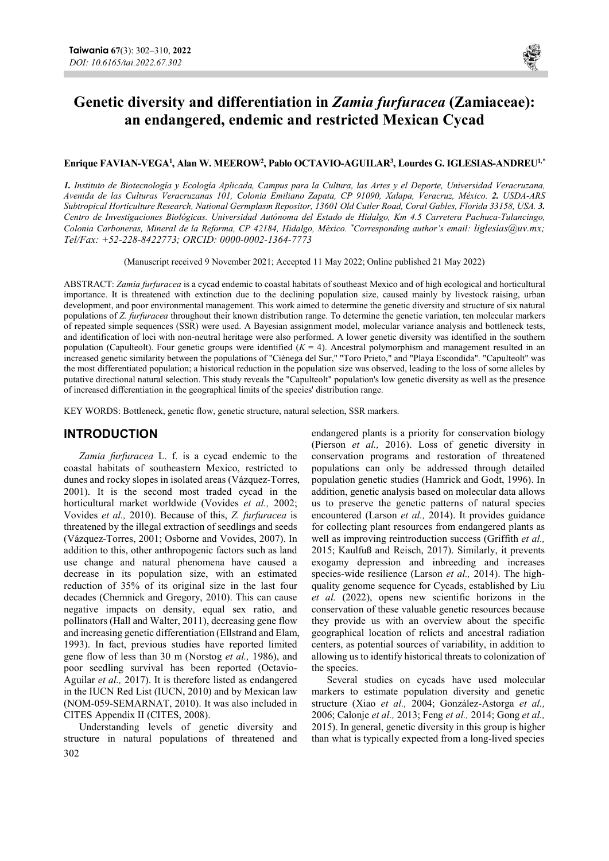

# Genetic diversity and differentiation in Zamia furfuracea (Zamiaceae): an endangered, endemic and restricted Mexican Cycad

### ${\rm Enrique~FAVIAN-VEGA}^1,$  Alan W. MEEROW $^2,$  Pablo OCTAVIO-AGUILAR $^3,$  Lourdes G. IGLESIAS-ANDREU $^{1,*}$

1. Instituto de Biotecnología y Ecología Aplicada, Campus para la Cultura, las Artes y el Deporte, Universidad Veracruzana, Avenida de las Culturas Veracruzanas 101, Colonia Emiliano Zapata, CP 91090, Xalapa, Veracruz, México. 2. USDA-ARS Subtropical Horticulture Research, National Germplasm Repositor, 13601 Old Cutler Road, Coral Gables, Florida 33158, USA. 3. Centro de Investigaciones Biológicas. Universidad Autónoma del Estado de Hidalgo, Km 4.5 Carretera Pachuca-Tulancingo, Colonia Carboneras, Mineral de la Reforma, CP 42184, Hidalgo, México. \*Corresponding author's email: liglesias@uv.mx; Tel/Fax: +52-228-8422773; ORCID: 0000-0002-1364-7773

(Manuscript received 9 November 2021; Accepted 11 May 2022; Online published 21 May 2022)

ABSTRACT: Zamia furfuracea is a cycad endemic to coastal habitats of southeast Mexico and of high ecological and horticultural importance. It is threatened with extinction due to the declining population size, caused mainly by livestock raising, urban development, and poor environmental management. This work aimed to determine the genetic diversity and structure of six natural populations of Z. furfuracea throughout their known distribution range. To determine the genetic variation, ten molecular markers of repeated simple sequences (SSR) were used. A Bayesian assignment model, molecular variance analysis and bottleneck tests, and identification of loci with non-neutral heritage were also performed. A lower genetic diversity was identified in the southern population (Capulteolt). Four genetic groups were identified  $(K = 4)$ . Ancestral polymorphism and management resulted in an increased genetic similarity between the populations of "Ciénega del Sur," "Toro Prieto," and "Playa Escondida". "Capulteolt" was the most differentiated population; a historical reduction in the population size was observed, leading to the loss of some alleles by putative directional natural selection. This study reveals the "Capulteolt" population's low genetic diversity as well as the presence of increased differentiation in the geographical limits of the species' distribution range.

KEY WORDS: Bottleneck, genetic flow, genetic structure, natural selection, SSR markers.

## INTRODUCTION

Zamia furfuracea L. f. is a cycad endemic to the coastal habitats of southeastern Mexico, restricted to dunes and rocky slopes in isolated areas (Vázquez-Torres, 2001). It is the second most traded cycad in the horticultural market worldwide (Vovides et al., 2002; Vovides et al., 2010). Because of this, Z. furfuracea is threatened by the illegal extraction of seedlings and seeds (Vázquez-Torres, 2001; Osborne and Vovides, 2007). In addition to this, other anthropogenic factors such as land use change and natural phenomena have caused a decrease in its population size, with an estimated reduction of 35% of its original size in the last four decades (Chemnick and Gregory, 2010). This can cause negative impacts on density, equal sex ratio, and pollinators (Hall and Walter, 2011), decreasing gene flow and increasing genetic differentiation (Ellstrand and Elam, 1993). In fact, previous studies have reported limited gene flow of less than 30 m (Norstog et al., 1986), and poor seedling survival has been reported (Octavio-Aguilar et al., 2017). It is therefore listed as endangered in the IUCN Red List (IUCN, 2010) and by Mexican law (NOM-059-SEMARNAT, 2010). It was also included in CITES Appendix II (CITES, 2008).

302 Understanding levels of genetic diversity and structure in natural populations of threatened and endangered plants is a priority for conservation biology (Pierson et al., 2016). Loss of genetic diversity in conservation programs and restoration of threatened populations can only be addressed through detailed population genetic studies (Hamrick and Godt, 1996). In addition, genetic analysis based on molecular data allows us to preserve the genetic patterns of natural species encountered (Larson et al., 2014). It provides guidance for collecting plant resources from endangered plants as well as improving reintroduction success (Griffith et al., 2015; Kaulfuß and Reisch, 2017). Similarly, it prevents exogamy depression and inbreeding and increases species-wide resilience (Larson et al., 2014). The highquality genome sequence for Cycads, established by Liu et al. (2022), opens new scientific horizons in the conservation of these valuable genetic resources because they provide us with an overview about the specific geographical location of relicts and ancestral radiation centers, as potential sources of variability, in addition to allowing us to identify historical threats to colonization of the species.

Several studies on cycads have used molecular markers to estimate population diversity and genetic structure (Xiao et al., 2004; González-Astorga et al., 2006; Calonje et al., 2013; Feng et al., 2014; Gong et al., 2015). In general, genetic diversity in this group is higher than what is typically expected from a long-lived species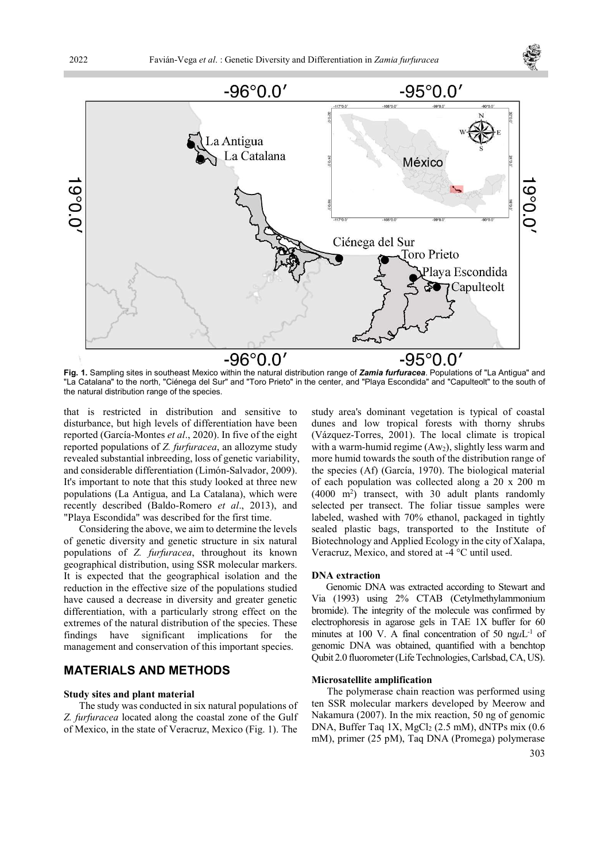



Fig. 1. Sampling sites in southeast Mexico within the natural distribution range of Zamia furfuracea. Populations of "La Antigua" and "La Catalana" to the north, "Ciénega del Sur" and "Toro Prieto" in the center, and "Playa Escondida" and "Capulteolt" to the south of the natural distribution range of the species.

that is restricted in distribution and sensitive to disturbance, but high levels of differentiation have been reported (García-Montes et al., 2020). In five of the eight reported populations of Z. furfuracea, an allozyme study revealed substantial inbreeding, loss of genetic variability, and considerable differentiation (Limón-Salvador, 2009). It's important to note that this study looked at three new populations (La Antigua, and La Catalana), which were recently described (Baldo-Romero et al., 2013), and "Playa Escondida" was described for the first time.

Considering the above, we aim to determine the levels of genetic diversity and genetic structure in six natural populations of Z. furfuracea, throughout its known geographical distribution, using SSR molecular markers. It is expected that the geographical isolation and the reduction in the effective size of the populations studied have caused a decrease in diversity and greater genetic differentiation, with a particularly strong effect on the extremes of the natural distribution of the species. These findings have significant implications for the management and conservation of this important species.

## MATERIALS AND METHODS

#### Study sites and plant material

The study was conducted in six natural populations of Z. furfuracea located along the coastal zone of the Gulf of Mexico, in the state of Veracruz, Mexico (Fig. 1). The study area's dominant vegetation is typical of coastal dunes and low tropical forests with thorny shrubs (Vázquez-Torres, 2001). The local climate is tropical with a warm-humid regime  $(Aw_2)$ , slightly less warm and more humid towards the south of the distribution range of the species (Af) (García, 1970). The biological material of each population was collected along a 20 x 200 m (4000 m<sup>2</sup> ) transect, with 30 adult plants randomly selected per transect. The foliar tissue samples were labeled, washed with 70% ethanol, packaged in tightly sealed plastic bags, transported to the Institute of Biotechnology and Applied Ecology in the city of Xalapa, Veracruz, Mexico, and stored at -4 °C until used.

#### DNA extraction

Genomic DNA was extracted according to Stewart and Via (1993) using 2% CTAB (Cetylmethylammonium bromide). The integrity of the molecule was confirmed by electrophoresis in agarose gels in TAE 1X buffer for 60 minutes at 100 V. A final concentration of 50 ng $\mu$ L<sup>-1</sup> of genomic DNA was obtained, quantified with a benchtop Qubit 2.0 fluorometer (Life Technologies, Carlsbad, CA, US).

#### Microsatellite amplification

303 The polymerase chain reaction was performed using ten SSR molecular markers developed by Meerow and Nakamura (2007). In the mix reaction, 50 ng of genomic DNA, Buffer Taq  $1X$ , MgCl<sub>2</sub> (2.5 mM), dNTPs mix (0.6 mM), primer (25 pM), Taq DNA (Promega) polymerase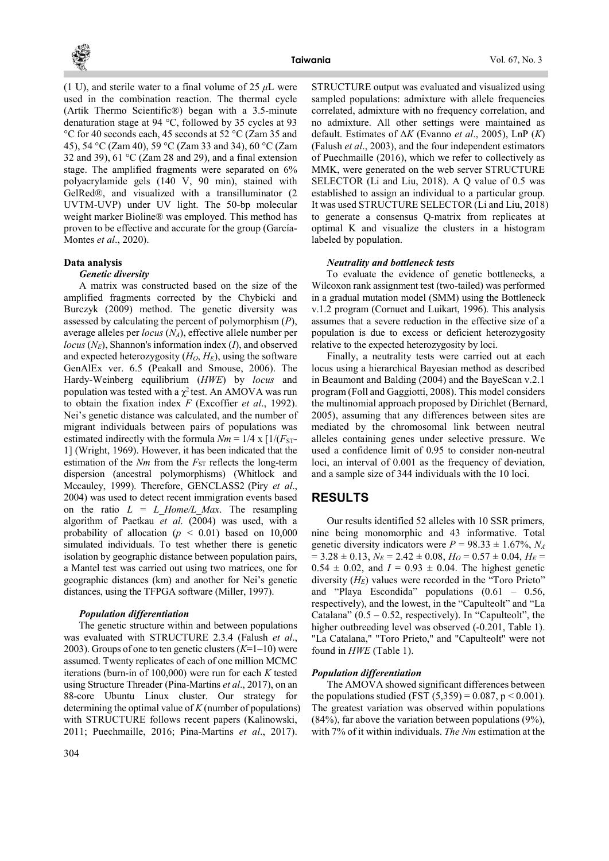

(1 U), and sterile water to a final volume of 25  $\mu$ L were used in the combination reaction. The thermal cycle (Artik Thermo Scientific®) began with a 3.5-minute denaturation stage at 94 °C, followed by 35 cycles at 93 °C for 40 seconds each, 45 seconds at 52 °C (Zam 35 and 45), 54 °C (Zam 40), 59 °C (Zam 33 and 34), 60 °C (Zam 32 and 39), 61  $\degree$ C (Zam 28 and 29), and a final extension stage. The amplified fragments were separated on 6% polyacrylamide gels (140 V, 90 min), stained with GelRed®, and visualized with a transilluminator (2 UVTM-UVP) under UV light. The 50-bp molecular weight marker Bioline® was employed. This method has proven to be effective and accurate for the group (García-Montes et al., 2020).

### Data analysis

#### Genetic diversity

A matrix was constructed based on the size of the amplified fragments corrected by the Chybicki and Burczyk (2009) method. The genetic diversity was assessed by calculating the percent of polymorphism  $(P)$ , average alleles per *locus*  $(N_A)$ , effective allele number per  $locus (N<sub>E</sub>)$ , Shannon's information index  $(I)$ , and observed and expected heterozygosity  $(H_O, H_E)$ , using the software GenAlEx ver. 6.5 (Peakall and Smouse, 2006). The Hardy-Weinberg equilibrium (HWE) by locus and population was tested with a  $\chi^2$  test. An AMOVA was run to obtain the fixation index  $F$  (Excoffier *et al.*, 1992). Nei's genetic distance was calculated, and the number of migrant individuals between pairs of populations was estimated indirectly with the formula  $Nm = 1/4 \times 1/(F<sub>ST</sub>$ 1] (Wright, 1969). However, it has been indicated that the estimation of the  $Nm$  from the  $F_{ST}$  reflects the long-term dispersion (ancestral polymorphisms) (Whitlock and Mccauley, 1999). Therefore, GENCLASS2 (Piry et al., 2004) was used to detect recent immigration events based on the ratio  $L = L$  Home/L Max. The resampling algorithm of Paetkau et al. (2004) was used, with a probability of allocation ( $p \leq 0.01$ ) based on 10,000 simulated individuals. To test whether there is genetic isolation by geographic distance between population pairs, a Mantel test was carried out using two matrices, one for geographic distances (km) and another for Nei's genetic distances, using the TFPGA software (Miller, 1997).

#### Population differentiation

The genetic structure within and between populations was evaluated with STRUCTURE 2.3.4 (Falush et al., 2003). Groups of one to ten genetic clusters  $(K=1-10)$  were assumed. Twenty replicates of each of one million MCMC iterations (burn-in of  $100,000$ ) were run for each K tested using Structure Threader (Pina-Martins et al., 2017), on an 88-core Ubuntu Linux cluster. Our strategy for determining the optimal value of  $K$  (number of populations) with STRUCTURE follows recent papers (Kalinowski, 2011; Puechmaille, 2016; Pina-Martins et al., 2017).

STRUCTURE output was evaluated and visualized using sampled populations: admixture with allele frequencies correlated, admixture with no frequency correlation, and no admixture. All other settings were maintained as default. Estimates of  $\Delta K$  (Evanno et al., 2005), LnP  $(K)$ (Falush et al., 2003), and the four independent estimators of Puechmaille (2016), which we refer to collectively as MMK, were generated on the web server STRUCTURE SELECTOR (Li and Liu, 2018). A Q value of 0.5 was established to assign an individual to a particular group. It was used STRUCTURE SELECTOR (Li and Liu, 2018) to generate a consensus Q-matrix from replicates at optimal K and visualize the clusters in a histogram labeled by population.

#### Neutrality and bottleneck tests

To evaluate the evidence of genetic bottlenecks, a Wilcoxon rank assignment test (two-tailed) was performed in a gradual mutation model (SMM) using the Bottleneck v.1.2 program (Cornuet and Luikart, 1996). This analysis assumes that a severe reduction in the effective size of a population is due to excess or deficient heterozygosity relative to the expected heterozygosity by loci.

Finally, a neutrality tests were carried out at each locus using a hierarchical Bayesian method as described in Beaumont and Balding (2004) and the BayeScan v.2.1 program (Foll and Gaggiotti, 2008). This model considers the multinomial approach proposed by Dirichlet (Bernard, 2005), assuming that any differences between sites are mediated by the chromosomal link between neutral alleles containing genes under selective pressure. We used a confidence limit of 0.95 to consider non-neutral loci, an interval of 0.001 as the frequency of deviation, and a sample size of 344 individuals with the 10 loci.

### RESULTS

Our results identified 52 alleles with 10 SSR primers, nine being monomorphic and 43 informative. Total genetic diversity indicators were  $P = 98.33 \pm 1.67\%, N_A$  $= 3.28 \pm 0.13$ ,  $N_E = 2.42 \pm 0.08$ ,  $H_O = 0.57 \pm 0.04$ ,  $H_E =$  $0.54 \pm 0.02$ , and  $I = 0.93 \pm 0.04$ . The highest genetic diversity  $(H_E)$  values were recorded in the "Toro Prieto" and "Playa Escondida" populations (0.61 – 0.56, respectively), and the lowest, in the "Capulteolt" and "La Catalana"  $(0.5 - 0.52$ , respectively). In "Capulteolt", the higher outbreeding level was observed (-0.201, Table 1). "La Catalana," "Toro Prieto," and "Capulteolt" were not found in  $HWE$  (Table 1).

#### Population differentiation

The AMOVA showed significant differences between the populations studied (FST  $(5,359) = 0.087$ , p < 0.001). The greatest variation was observed within populations (84%), far above the variation between populations (9%), with 7% of it within individuals. The Nm estimation at the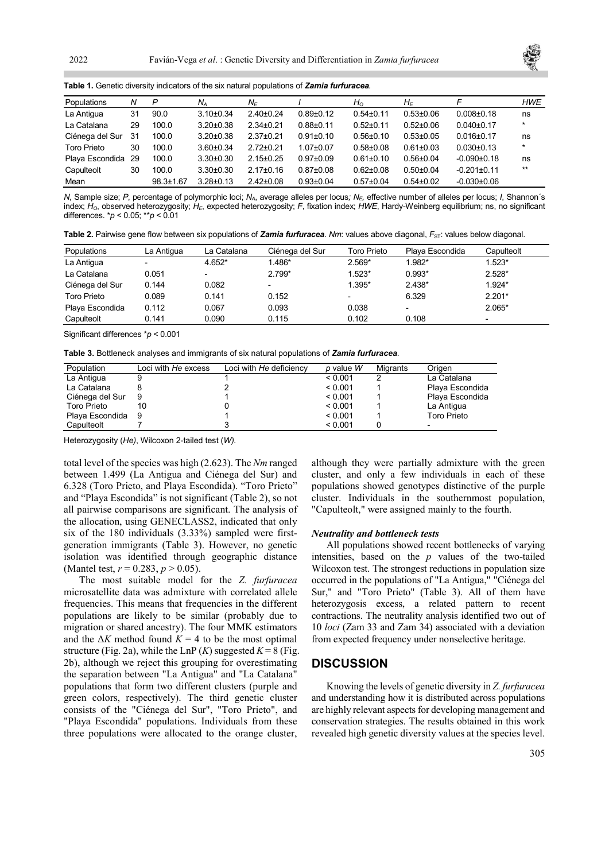

Table 1. Genetic diversity indicators of the six natural populations of Zamia furfuracea.

| Populations        | N   | P               | $N_A$           | $N_F$           |                 | $H_{\Omega}$    | $H_F$           |                   | <b>HWE</b> |
|--------------------|-----|-----------------|-----------------|-----------------|-----------------|-----------------|-----------------|-------------------|------------|
| La Antigua         | 31  | 90.0            | $3.10 \pm 0.34$ | $2.40 \pm 0.24$ | $0.89 + 0.12$   | $0.54 \pm 0.11$ | $0.53 \pm 0.06$ | $0.008 + 0.18$    | ns         |
| La Catalana        | 29  | 100.0           | $3.20 \pm 0.38$ | $2.34 \pm 0.21$ | $0.88 + 0.11$   | $0.52 + 0.11$   | $0.52 \pm 0.06$ | $0.040 \pm 0.17$  | $^\star$   |
| Ciénega del Sur    | -31 | 100.0           | $3.20 \pm 0.38$ | $2.37 \pm 0.21$ | $0.91 \pm 0.10$ | $0.56 \pm 0.10$ | $0.53 \pm 0.05$ | $0.016 \pm 0.17$  | ns         |
| <b>Toro Prieto</b> | 30  | 100.0           | $3.60 \pm 0.34$ | $2.72 \pm 0.21$ | $1.07 + 0.07$   | $0.58 + 0.08$   | $0.61 \pm 0.03$ | $0.030+0.13$      | $\star$    |
| Playa Escondida 29 |     | 100.0           | $3.30 \pm 0.30$ | $2.15 \pm 0.25$ | $0.97 \pm 0.09$ | $0.61 \pm 0.10$ | $0.56 \pm 0.04$ | $-0.090+0.18$     | ns         |
| Capulteolt         | 30  | 100.0           | $3.30 \pm 0.30$ | $2.17 \pm 0.16$ | $0.87 + 0.08$   | $0.62 \pm 0.08$ | $0.50 + 0.04$   | $-0.201 \pm 0.11$ | $***$      |
| Mean               |     | $98.3 \pm 1.67$ | $3.28 \pm 0.13$ | $2.42 \pm 0.08$ | $0.93 + 0.04$   | $0.57 \pm 0.04$ | $0.54 \pm 0.02$ | $-0.030+0.06$     |            |

N, Sample size; P, percentage of polymorphic loci; N<sub>A</sub>, average alleles per locus; N<sub>E</sub>, effective number of alleles per locus; I, Shannon's index; H<sub>o</sub>, observed heterozygosity; H<sub>E</sub>, expected heterozygosity; F, fixation index; HWE, Hardy-Weinberg equilibrium; ns, no significant differences.  $* p < 0.05$ ;  $* p < 0.01$ 

Table 2. Pairwise gene flow between six populations of Zamia furfuracea. Nm: values above diagonal, F<sub>ST</sub>: values below diagonal.

| Populations        | La Antigua               | La Catalana              | Ciénega del Sur          | Toro Prieto              | Playa Escondida              | Capulteolt               |
|--------------------|--------------------------|--------------------------|--------------------------|--------------------------|------------------------------|--------------------------|
| La Antigua         | $\overline{\phantom{0}}$ | 4.652*                   | 1.486*                   | $2.569*$                 | 1.982*                       | $1.523*$                 |
| La Catalana        | 0.051                    | $\overline{\phantom{a}}$ | $2.799*$                 | $1.523*$                 | $0.993*$                     | $2.528*$                 |
| Ciénega del Sur    | 0.144                    | 0.082                    | $\overline{\phantom{0}}$ | 1.395*                   | $2.438*$                     | 1.924*                   |
| <b>Toro Prieto</b> | 0.089                    | 0.141                    | 0.152                    | $\overline{\phantom{0}}$ | 6.329                        | $2.201*$                 |
| Playa Escondida    | 0.112                    | 0.067                    | 0.093                    | 0.038                    | $\qquad \qquad \blacksquare$ | $2.065*$                 |
| Capulteolt         | 0.141                    | 0.090                    | 0.115                    | 0.102                    | 0.108                        | $\overline{\phantom{0}}$ |

Significant differences \*p < 0.001

Table 3. Bottleneck analyses and immigrants of six natural populations of Zamia furfuracea.

| Population         | Loci with He excess | Loci with He deficiency | $p$ value $W$ | Migrants | Origen          |
|--------------------|---------------------|-------------------------|---------------|----------|-----------------|
| La Antigua         |                     |                         | < 0.001       |          | La Catalana     |
| La Catalana        |                     |                         | < 0.001       |          | Playa Escondida |
| Ciénega del Sur    | 9                   |                         | < 0.001       |          | Playa Escondida |
| <b>Toro Prieto</b> | 10                  |                         | < 0.001       |          | La Antigua      |
| Playa Escondida    | - 9                 |                         | < 0.001       |          | Toro Prieto     |
| Capulteolt         |                     |                         | < 0.001       |          |                 |

Heterozygosity (He), Wilcoxon 2-tailed test (W).

total level of the species was high (2.623). The Nm ranged between 1.499 (La Antigua and Ciénega del Sur) and 6.328 (Toro Prieto, and Playa Escondida). "Toro Prieto" and "Playa Escondida" is not significant (Table 2), so not all pairwise comparisons are significant. The analysis of the allocation, using GENECLASS2, indicated that only six of the 180 individuals (3.33%) sampled were firstgeneration immigrants (Table 3). However, no genetic isolation was identified through geographic distance (Mantel test,  $r = 0.283$ ,  $p > 0.05$ ).

The most suitable model for the Z. furfuracea microsatellite data was admixture with correlated allele frequencies. This means that frequencies in the different populations are likely to be similar (probably due to migration or shared ancestry). The four MMK estimators and the  $\Delta K$  method found  $K = 4$  to be the most optimal structure (Fig. 2a), while the LnP  $(K)$  suggested  $K = 8$  (Fig. 2b), although we reject this grouping for overestimating the separation between "La Antigua" and "La Catalana" populations that form two different clusters (purple and green colors, respectively). The third genetic cluster consists of the "Ciénega del Sur", "Toro Prieto", and "Playa Escondida" populations. Individuals from these three populations were allocated to the orange cluster,

although they were partially admixture with the green cluster, and only a few individuals in each of these populations showed genotypes distinctive of the purple cluster. Individuals in the southernmost population, "Capulteolt," were assigned mainly to the fourth.

#### Neutrality and bottleneck tests

All populations showed recent bottlenecks of varying intensities, based on the  $p$  values of the two-tailed Wilcoxon test. The strongest reductions in population size occurred in the populations of "La Antigua," "Ciénega del Sur," and "Toro Prieto" (Table 3). All of them have heterozygosis excess, a related pattern to recent contractions. The neutrality analysis identified two out of 10 loci (Zam 33 and Zam 34) associated with a deviation from expected frequency under nonselective heritage.

### **DISCUSSION**

Knowing the levels of genetic diversity in Z. furfuracea and understanding how it is distributed across populations are highly relevant aspects for developing management and conservation strategies. The results obtained in this work revealed high genetic diversity values at the species level.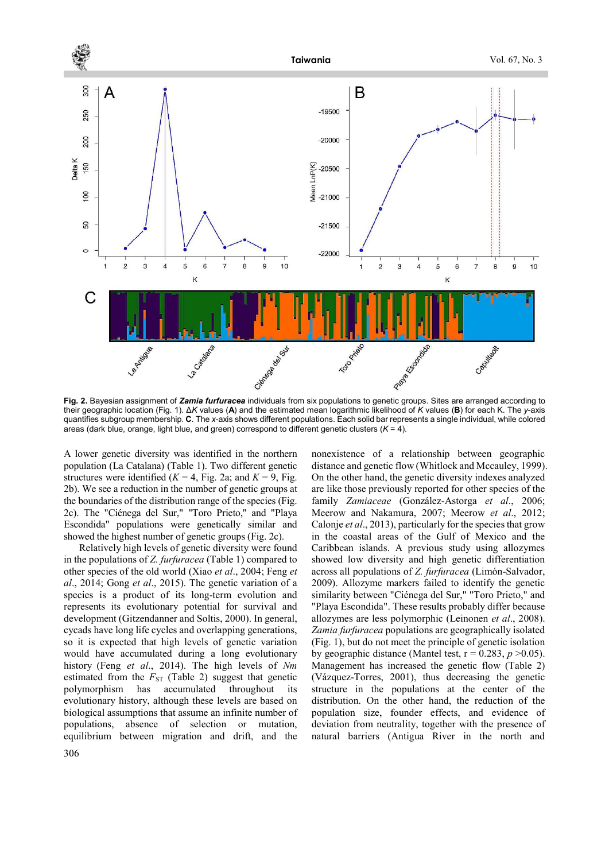

their geographic location (Fig. 1). ΔK values (A) and the estimated mean logarithmic likelihood of K values (B) for each K. The y-axis quantifies subgroup membership. C. The x-axis shows different populations. Each solid bar represents a single individual, while colored areas (dark blue, orange, light blue, and green) correspond to different genetic clusters  $(K = 4)$ .

A lower genetic diversity was identified in the northern population (La Catalana) (Table 1). Two different genetic structures were identified ( $K = 4$ , Fig. 2a; and  $K = 9$ , Fig. 2b). We see a reduction in the number of genetic groups at the boundaries of the distribution range of the species (Fig. 2c). The "Ciénega del Sur," "Toro Prieto," and "Playa Escondida" populations were genetically similar and showed the highest number of genetic groups (Fig. 2c).

Relatively high levels of genetic diversity were found in the populations of Z. furfuracea (Table 1) compared to other species of the old world (Xiao et al., 2004; Feng et al., 2014; Gong et al., 2015). The genetic variation of a species is a product of its long-term evolution and represents its evolutionary potential for survival and development (Gitzendanner and Soltis, 2000). In general, cycads have long life cycles and overlapping generations, so it is expected that high levels of genetic variation would have accumulated during a long evolutionary history (Feng et al., 2014). The high levels of Nm estimated from the  $F_{ST}$  (Table 2) suggest that genetic polymorphism has accumulated throughout its evolutionary history, although these levels are based on biological assumptions that assume an infinite number of populations, absence of selection or mutation, equilibrium between migration and drift, and the

306

nonexistence of a relationship between geographic distance and genetic flow (Whitlock and Mccauley, 1999). On the other hand, the genetic diversity indexes analyzed are like those previously reported for other species of the family Zamiaceae (González-Astorga et al., 2006; Meerow and Nakamura, 2007; Meerow et al., 2012; Calonje et al., 2013), particularly for the species that grow in the coastal areas of the Gulf of Mexico and the Caribbean islands. A previous study using allozymes showed low diversity and high genetic differentiation across all populations of Z. furfuracea (Limón-Salvador, 2009). Allozyme markers failed to identify the genetic similarity between "Ciénega del Sur," "Toro Prieto," and "Playa Escondida". These results probably differ because allozymes are less polymorphic (Leinonen et al., 2008). Zamia furfuracea populations are geographically isolated (Fig. 1), but do not meet the principle of genetic isolation by geographic distance (Mantel test,  $r = 0.283$ ,  $p > 0.05$ ). Management has increased the genetic flow (Table 2) (Vázquez-Torres, 2001), thus decreasing the genetic structure in the populations at the center of the distribution. On the other hand, the reduction of the population size, founder effects, and evidence of deviation from neutrality, together with the presence of natural barriers (Antigua River in the north and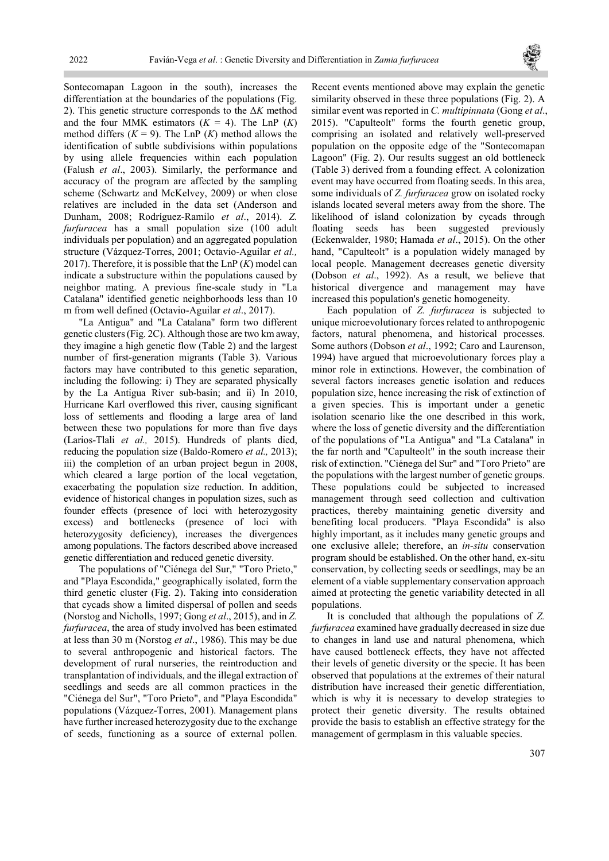

Sontecomapan Lagoon in the south), increases the differentiation at the boundaries of the populations (Fig. 2). This genetic structure corresponds to the  $\Delta K$  method and the four MMK estimators  $(K = 4)$ . The LnP  $(K)$ method differs  $(K = 9)$ . The LnP  $(K)$  method allows the identification of subtle subdivisions within populations by using allele frequencies within each population (Falush et al., 2003). Similarly, the performance and accuracy of the program are affected by the sampling scheme (Schwartz and McKelvey, 2009) or when close relatives are included in the data set (Anderson and Dunham, 2008; Rodríguez-Ramilo et al., 2014). Z. furfuracea has a small population size (100 adult individuals per population) and an aggregated population structure (Vázquez-Torres, 2001; Octavio-Aguilar et al., 2017). Therefore, it is possible that the  $\text{Ln}P(K)$  model can indicate a substructure within the populations caused by neighbor mating. A previous fine-scale study in "La Catalana" identified genetic neighborhoods less than 10 m from well defined (Octavio-Aguilar et al., 2017).

"La Antigua" and "La Catalana" form two different genetic clusters (Fig. 2C). Although those are two km away, they imagine a high genetic flow (Table 2) and the largest number of first-generation migrants (Table 3). Various factors may have contributed to this genetic separation, including the following: i) They are separated physically by the La Antigua River sub-basin; and ii) In 2010, Hurricane Karl overflowed this river, causing significant loss of settlements and flooding a large area of land between these two populations for more than five days (Larios-Tlali et al., 2015). Hundreds of plants died, reducing the population size (Baldo-Romero et al., 2013); iii) the completion of an urban project begun in 2008, which cleared a large portion of the local vegetation, exacerbating the population size reduction. In addition, evidence of historical changes in population sizes, such as founder effects (presence of loci with heterozygosity excess) and bottlenecks (presence of loci with heterozygosity deficiency), increases the divergences among populations. The factors described above increased genetic differentiation and reduced genetic diversity.

The populations of "Ciénega del Sur," "Toro Prieto," and "Playa Escondida," geographically isolated, form the third genetic cluster (Fig. 2). Taking into consideration that cycads show a limited dispersal of pollen and seeds (Norstog and Nicholls, 1997; Gong et al., 2015), and in Z. furfuracea, the area of study involved has been estimated at less than 30 m (Norstog et al., 1986). This may be due to several anthropogenic and historical factors. The development of rural nurseries, the reintroduction and transplantation of individuals, and the illegal extraction of seedlings and seeds are all common practices in the "Ciénega del Sur", "Toro Prieto", and "Playa Escondida" populations (Vázquez-Torres, 2001). Management plans have further increased heterozygosity due to the exchange of seeds, functioning as a source of external pollen.

Recent events mentioned above may explain the genetic similarity observed in these three populations (Fig. 2). A similar event was reported in C. multipinnata (Gong et al., 2015). "Capulteolt" forms the fourth genetic group, comprising an isolated and relatively well-preserved population on the opposite edge of the "Sontecomapan Lagoon" (Fig. 2). Our results suggest an old bottleneck (Table 3) derived from a founding effect. A colonization event may have occurred from floating seeds. In this area, some individuals of Z. furfuracea grow on isolated rocky islands located several meters away from the shore. The likelihood of island colonization by cycads through floating seeds has been suggested previously (Eckenwalder, 1980; Hamada et al., 2015). On the other hand, "Capulteolt" is a population widely managed by local people. Management decreases genetic diversity (Dobson et al., 1992). As a result, we believe that historical divergence and management may have increased this population's genetic homogeneity.

Each population of Z. furfuracea is subjected to unique microevolutionary forces related to anthropogenic factors, natural phenomena, and historical processes. Some authors (Dobson et al., 1992; Caro and Laurenson, 1994) have argued that microevolutionary forces play a minor role in extinctions. However, the combination of several factors increases genetic isolation and reduces population size, hence increasing the risk of extinction of a given species. This is important under a genetic isolation scenario like the one described in this work, where the loss of genetic diversity and the differentiation of the populations of "La Antigua" and "La Catalana" in the far north and "Capulteolt" in the south increase their risk of extinction. "Ciénega del Sur" and "Toro Prieto" are the populations with the largest number of genetic groups. These populations could be subjected to increased management through seed collection and cultivation practices, thereby maintaining genetic diversity and benefiting local producers. "Playa Escondida" is also highly important, as it includes many genetic groups and one exclusive allele; therefore, an in-situ conservation program should be established. On the other hand, ex-situ conservation, by collecting seeds or seedlings, may be an element of a viable supplementary conservation approach aimed at protecting the genetic variability detected in all populations.

It is concluded that although the populations of Z. furfuracea examined have gradually decreased in size due to changes in land use and natural phenomena, which have caused bottleneck effects, they have not affected their levels of genetic diversity or the specie. It has been observed that populations at the extremes of their natural distribution have increased their genetic differentiation, which is why it is necessary to develop strategies to protect their genetic diversity. The results obtained provide the basis to establish an effective strategy for the management of germplasm in this valuable species.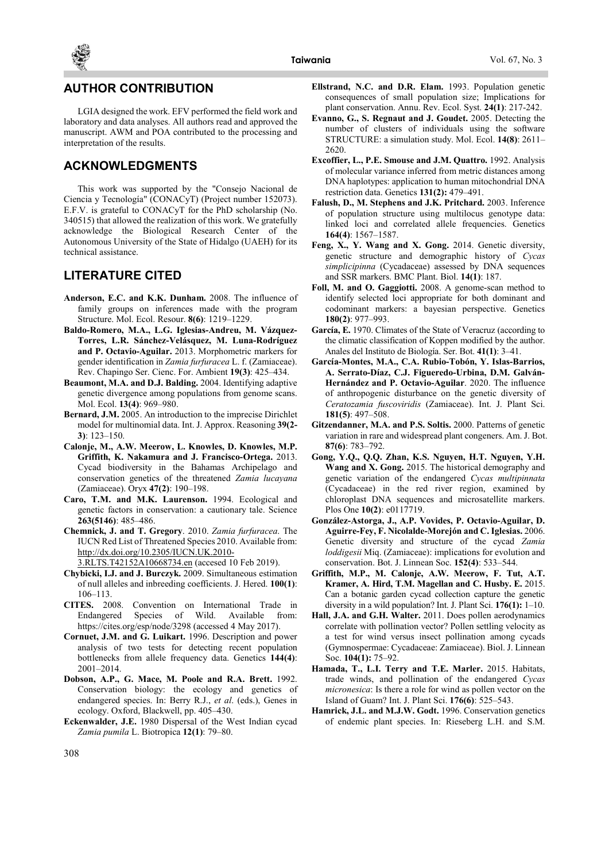

### AUTHOR CONTRIBUTION

LGIA designed the work. EFV performed the field work and laboratory and data analyses. All authors read and approved the manuscript. AWM and POA contributed to the processing and interpretation of the results.

# ACKNOWLEDGMENTS

This work was supported by the "Consejo Nacional de Ciencia y Tecnología" (CONACyT) (Project number 152073). E.F.V. is grateful to CONACyT for the PhD scholarship (No. 340515) that allowed the realization of this work. We gratefully acknowledge the Biological Research Center of the Autonomous University of the State of Hidalgo (UAEH) for its technical assistance.

## LITERATURE CITED

- Anderson, E.C. and K.K. Dunham. 2008. The influence of family groups on inferences made with the program Structure. Mol. Ecol. Resour. 8(6): 1219-1229.
- Baldo-Romero, M.A., L.G. Iglesias-Andreu, M. Vázquez-Torres, L.R. Sánchez-Velásquez, M. Luna-Rodríguez and P. Octavio-Aguilar. 2013. Morphometric markers for gender identification in Zamia furfuracea L. f. (Zamiaceae). Rev. Chapingo Ser. Cienc. For. Ambient 19(3): 425–434.
- Beaumont, M.A. and D.J. Balding. 2004. Identifying adaptive genetic divergence among populations from genome scans. Mol. Ecol. 13(4): 969-980.
- Bernard, J.M. 2005. An introduction to the imprecise Dirichlet model for multinomial data. Int. J. Approx. Reasoning 39(2- 3): 123‒150.
- Calonje, M., A.W. Meerow, L. Knowles, D. Knowles, M.P. Griffith, K. Nakamura and J. Francisco-Ortega. 2013. Cycad biodiversity in the Bahamas Archipelago and conservation genetics of the threatened Zamia lucayana (Zamiaceae). Oryx 47(2): 190‒198.
- Caro, T.M. and M.K. Laurenson. 1994. Ecological and genetic factors in conservation: a cautionary tale. Science 263(5146): 485‒486.
- Chemnick, J. and T. Gregory. 2010. Zamia furfuracea. The IUCN Red List of Threatened Species 2010. Available from: http://dx.doi.org/10.2305/IUCN.UK.2010-
	- 3.RLTS.T42152A10668734.en (accesed 10 Feb 2019).
- Chybicki, I.J. and J. Burczyk. 2009. Simultaneous estimation of null alleles and inbreeding coefficients. J. Hered. 100(1): 106‒113.
- CITES. 2008. Convention on International Trade in Endangered Species of Wild. Available from: https://cites.org/esp/node/3298 (accessed 4 May 2017).
- Cornuet, J.M. and G. Luikart. 1996. Description and power analysis of two tests for detecting recent population bottlenecks from allele frequency data. Genetics 144(4): 2001‒2014.
- Dobson, A.P., G. Mace, M. Poole and R.A. Brett. 1992. Conservation biology: the ecology and genetics of endangered species. In: Berry R.J., et al. (eds.), Genes in ecology. Oxford, Blackwell, pp. 405-430.
- Eckenwalder, J.E. 1980 Dispersal of the West Indian cycad Zamia pumila L. Biotropica 12(1): 79-80.
- Ellstrand, N.C. and D.R. Elam. 1993. Population genetic consequences of small population size; Implications for plant conservation. Annu. Rev. Ecol. Syst. 24(1): 217-242.
- Evanno, G., S. Regnaut and J. Goudet. 2005. Detecting the number of clusters of individuals using the software STRUCTURE: a simulation study. Mol. Ecol. 14(8): 2611-2620.
- Excoffier, L., P.E. Smouse and J.M. Quattro. 1992. Analysis of molecular variance inferred from metric distances among DNA haplotypes: application to human mitochondrial DNA restriction data. Genetics 131(2): 479-491.
- Falush, D., M. Stephens and J.K. Pritchard. 2003. Inference of population structure using multilocus genotype data: linked loci and correlated allele frequencies. Genetics 164(4): 1567‒1587.
- Feng, X., Y. Wang and X. Gong. 2014. Genetic diversity, genetic structure and demographic history of Cycas simplicipinna (Cycadaceae) assessed by DNA sequences and SSR markers. BMC Plant. Biol. 14(1): 187.
- Foll, M. and O. Gaggiotti. 2008. A genome-scan method to identify selected loci appropriate for both dominant and codominant markers: a bayesian perspective. Genetics 180(2): 977‒993.
- García, E. 1970. Climates of the State of Veracruz (according to the climatic classification of Koppen modified by the author. Anales del Instituto de Biología. Ser. Bot. 41(1): 3–41.
- García-Montes, M.A., C.A. Rubio-Tobón, Y. Islas-Barrios, A. Serrato-Díaz, C.J. Figueredo-Urbina, D.M. Galván-Hernández and P. Octavio-Aguilar. 2020. The influence of anthropogenic disturbance on the genetic diversity of Ceratozamia fuscoviridis (Zamiaceae). Int. J. Plant Sci. 181(5): 497‒508.
- Gitzendanner, M.A. and P.S. Soltis. 2000. Patterns of genetic variation in rare and widespread plant congeners. Am. J. Bot. 87(6): 783‒792.
- Gong, Y.Q., Q.Q. Zhan, K.S. Nguyen, H.T. Nguyen, Y.H. Wang and X. Gong. 2015. The historical demography and genetic variation of the endangered Cycas multipinnata (Cycadaceae) in the red river region, examined by chloroplast DNA sequences and microsatellite markers. Plos One 10(2): e0117719.
- González-Astorga, J., A.P. Vovides, P. Octavio-Aguilar, D. Aguirre-Fey, F. Nicolalde-Morejón and C. Iglesias. 2006. Genetic diversity and structure of the cycad Zamia loddigesii Miq. (Zamiaceae): implications for evolution and conservation. Bot. J. Linnean Soc. 152(4): 533–544.
- Griffith, M.P., M. Calonje, A.W. Meerow, F. Tut, A.T. Kramer, A. Hird, T.M. Magellan and C. Husby. E. 2015. Can a botanic garden cycad collection capture the genetic diversity in a wild population? Int. J. Plant Sci.  $176(1)$ : 1–10.
- Hall, J.A. and G.H. Walter. 2011. Does pollen aerodynamics correlate with pollination vector? Pollen settling velocity as a test for wind versus insect pollination among cycads (Gymnospermae: Cycadaceae: Zamiaceae). Biol. J. Linnean Soc. 104(1): 75–92.
- Hamada, T., L.I. Terry and T.E. Marler. 2015. Habitats, trade winds, and pollination of the endangered Cycas micronesica: Is there a role for wind as pollen vector on the Island of Guam? Int. J. Plant Sci.  $176(6)$ : 525–543.
- Hamrick, J.L. and M.J.W. Godt. 1996. Conservation genetics of endemic plant species. In: Rieseberg L.H. and S.M.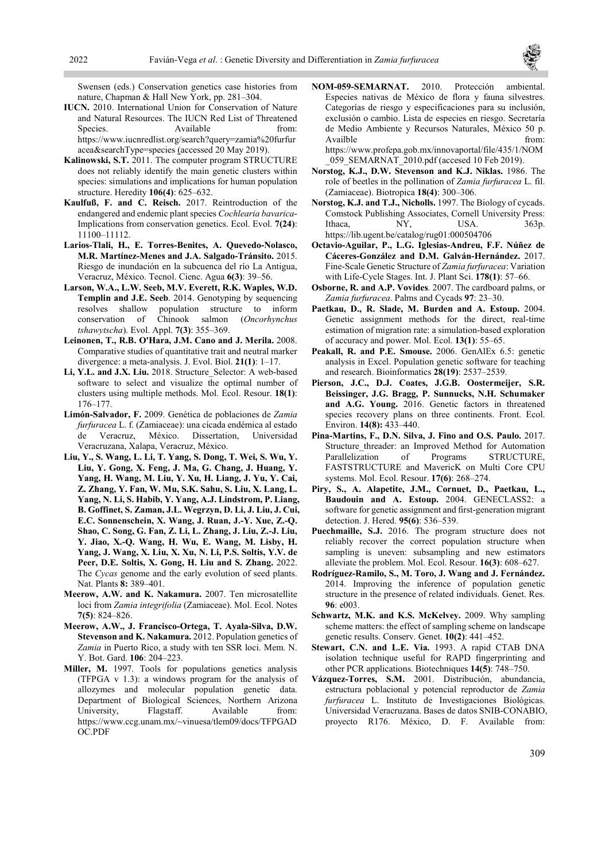

Swensen (eds.) Conservation genetics case histories from nature, Chapman & Hall New York, pp. 281-304.

- IUCN. 2010. International Union for Conservation of Nature and Natural Resources. The IUCN Red List of Threatened Species. Available from: https://www.iucnredlist.org/search?query=zamia%20furfur acea&searchType=species (accessed 20 May 2019).
- Kalinowski, S.T. 2011. The computer program STRUCTURE does not reliably identify the main genetic clusters within species: simulations and implications for human population structure. Heredity 106(4): 625–632.
- Kaulfuß, F. and C. Reisch. 2017. Reintroduction of the endangered and endemic plant species Cochlearia bavarica-Implications from conservation genetics. Ecol. Evol. 7(24): 11100‒11112.
- Larios-Tlali, H., E. Torres-Benites, A. Quevedo-Nolasco, M.R. Martínez-Menes and J.A. Salgado-Tránsito. 2015. Riesgo de inundación en la subcuenca del río La Antigua, Veracruz, México. Tecnol. Cienc. Agua 6(3): 39-56.
- Larson, W.A., L.W. Seeb, M.V. Everett, R.K. Waples, W.D. Templin and J.E. Seeb. 2014. Genotyping by sequencing resolves shallow population structure to inform<br>conservation of Chinook salmon (Oncorhynchus  $conservation$  of  $\widehat{Chinook}$  salmon tshawytscha). Evol. Appl. 7(3): 355-369.
- Leinonen, T., R.B. O'Hara, J.M. Cano and J. Merila. 2008. Comparative studies of quantitative trait and neutral marker divergence: a meta-analysis. J. Evol. Biol.  $21(1)$ : 1–17.
- Li, Y.L. and J.X. Liu. 2018. Structure\_Selector: A web-based software to select and visualize the optimal number of clusters using multiple methods. Mol. Ecol. Resour. 18(1): 176‒177.
- Limón-Salvador, F. 2009. Genética de poblaciones de Zamia furfuracea L. f. (Zamiaceae): una cícada endémica al estado de Veracruz, México. Dissertation, Universidad Veracruzana, Xalapa, Veracruz, México.
- Liu, Y., S. Wang, L. Li, T. Yang, S. Dong, T. Wei, S. Wu, Y. Liu, Y. Gong, X. Feng, J. Ma, G. Chang, J. Huang, Y. Yang, H. Wang, M. Liu, Y. Xu, H. Liang, J. Yu, Y. Cai, Z. Zhang, Y. Fan, W. Mu, S.K. Sahu, S. Liu, X. Lang, L. Yang, N. Li, S. Habib, Y. Yang, A.J. Lindstrom, P. Liang, B. Goffinet, S. Zaman, J.L. Wegrzyn, D. Li, J. Liu, J. Cui, E.C. Sonnenschein, X. Wang, J. Ruan, J.-Y. Xue, Z.-Q. Shao, C. Song, G. Fan, Z. Li, L. Zhang, J. Liu, Z.-J. Liu, Y. Jiao, X.-Q. Wang, H. Wu, E. Wang, M. Lisby, H. Yang, J. Wang, X. Liu, X. Xu, N. Li, P.S. Soltis, Y.V. de Peer, D.E. Soltis, X. Gong, H. Liu and S. Zhang. 2022. The Cycas genome and the early evolution of seed plants. Nat. Plants 8: 389–401.
- Meerow, A.W. and K. Nakamura. 2007. Ten microsatellite loci from Zamia integrifolia (Zamiaceae). Mol. Ecol. Notes 7(5): 824‒826.
- Meerow, A.W., J. Francisco-Ortega, T. Ayala-Silva, D.W. Stevenson and K. Nakamura. 2012. Population genetics of Zamia in Puerto Rico, a study with ten SSR loci. Mem. N. Y. Bot. Gard. 106: 204-223.
- Miller, M. 1997. Tools for populations genetics analysis (TFPGA v 1.3): a windows program for the analysis of allozymes and molecular population genetic data. Department of Biological Sciences, Northern Arizona University, Flagstaff. Available from: https://www.ccg.unam.mx/~vinuesa/tlem09/docs/TFPGAD OC.PDF
- NOM-059-SEMARNAT. 2010. Protección ambiental. Especies nativas de México de flora y fauna silvestres. Categorías de riesgo y especificaciones para su inclusión, exclusión o cambio. Lista de especies en riesgo. Secretaría de Medio Ambiente y Recursos Naturales, México 50 p. Availble from: https://www.profepa.gob.mx/innovaportal/file/435/1/NOM
- \_059\_SEMARNAT\_2010.pdf (accesed 10 Feb 2019). Norstog, K.J., D.W. Stevenson and K.J. Niklas. 1986. The role of beetles in the pollination of Zamia furfuracea L. fil. (Zamiaceae). Biotropica 18(4): 300‒306.
- Norstog, K.J. and T.J., Nicholls. 1997. The Biology of cycads. Comstock Publishing Associates, Cornell University Press: Ithaca, NY, USA. 363p. https://lib.ugent.be/catalog/rug01:000504706
- Octavio-Aguilar, P., L.G. Iglesias-Andreu, F.F. Núñez de Cáceres-González and D.M. Galván-Hernández. 2017. Fine-Scale Genetic Structure of Zamia furfuracea: Variation with Life-Cycle Stages. Int. J. Plant Sci. 178(1): 57-66.
- Osborne, R. and A.P. Vovides. 2007. The cardboard palms, or Zamia furfuracea. Palms and Cycads 97: 23-30.
- Paetkau, D., R. Slade, M. Burden and A. Estoup. 2004. Genetic assignment methods for the direct, real-time estimation of migration rate: a simulation-based exploration of accuracy and power. Mol. Ecol. 13(1): 55–65.
- Peakall, R. and P.E. Smouse. 2006. GenAlEx 6.5: genetic analysis in Excel. Population genetic software for teaching and research. Bioinformatics 28(19): 2537-2539.
- Pierson, J.C., D.J. Coates, J.G.B. Oostermeijer, S.R. Beissinger, J.G. Bragg, P. Sunnucks, N.H. Schumaker and A.G. Young. 2016. Genetic factors in threatened species recovery plans on three continents. Front. Ecol. Environ. **14(8):** 433–440.
- Pina-Martins, F., D.N. Silva, J. Fino and O.S. Paulo. 2017. Structure threader: an Improved Method for Automation Parallelization of Programs STRUCTURE, FASTSTRUCTURE and MavericK on Multi Core CPU systems. Mol. Ecol. Resour. 17(6): 268–274.
- Piry, S., A. Alapetite, J.M., Cornuet, D., Paetkau, L., Baudouin and A. Estoup. 2004. GENECLASS2: a software for genetic assignment and first-generation migrant detection. J. Hered. 95(6): 536–539.
- Puechmaille, S.J. 2016. The program structure does not reliably recover the correct population structure when sampling is uneven: subsampling and new estimators alleviate the problem. Mol. Ecol. Resour. 16(3): 608-627.
- Rodríguez-Ramilo, S., M. Toro, J. Wang and J. Fernández. 2014. Improving the inference of population genetic structure in the presence of related individuals. Genet. Res. 96: e003.
- Schwartz, M.K. and K.S. McKelvey. 2009. Why sampling scheme matters: the effect of sampling scheme on landscape genetic results. Conserv. Genet. 10(2): 441–452.
- Stewart, C.N. and L.E. Via. 1993. A rapid CTAB DNA isolation technique useful for RAPD fingerprinting and other PCR applications. Biotechniques 14(5): 748–750.
- Vázquez-Torres, S.M. 2001. Distribución, abundancia, estructura poblacional y potencial reproductor de Zamia furfuracea L. Instituto de Investigaciones Biológicas. Universidad Veracruzana. Bases de datos SNIB-CONABIO, proyecto R176. México, D. F. Available from: